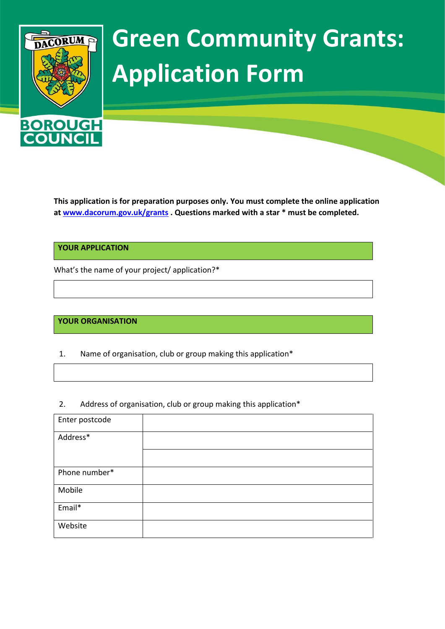

# **Green Community Grants: Application Form**

**This application is for preparation purposes only. You must complete the online application at [www.dacorum.gov.uk/grants](http://www.dacorum.gov.uk/grants) . Questions marked with a star \* must be completed.** 

**YOUR APPLICATION**

What's the name of your project/ application?\*

### **YOUR ORGANISATION**

1. Name of organisation, club or group making this application\*

2. Address of organisation, club or group making this application\*

| Enter postcode |  |
|----------------|--|
| Address*       |  |
|                |  |
| Phone number*  |  |
| Mobile         |  |
| Email*         |  |
| Website        |  |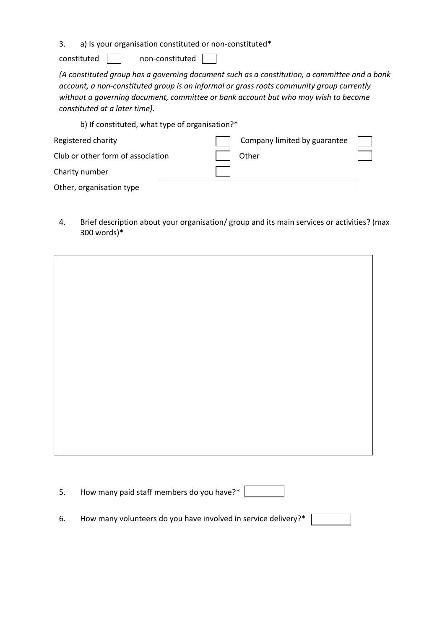3. a) Is your organisation constituted or non-constituted\*

 $constituted$  non-constituted  $\Box$ 

*(A constituted group has a governing document such as a constitution, a committee and a bank account, a non-constituted group is an informal or grass roots community group currently without a governing document, committee or bank account but who may wish to become constituted at a later time).* 

b) If constituted, what type of organisation?\*

| Registered charity                | Company limited by guarantee |  |
|-----------------------------------|------------------------------|--|
| Club or other form of association | Other                        |  |
| Charity number                    |                              |  |
| Other, organisation type          |                              |  |

4. Brief description about your organisation/ group and its main services or activities? (max 300 words)\*

- 5. How many paid staff members do you have?\*
- 6. How many volunteers do you have involved in service delivery?\*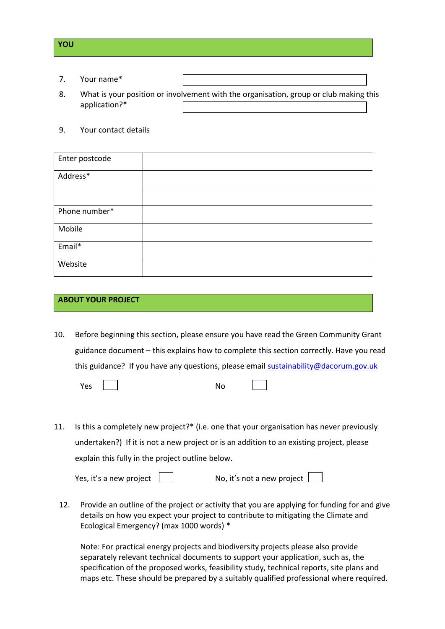## **YOU**

- 7. Your name\*
- 8. What is your position or involvement with the organisation, group or club making this application?\*
- 9. Your contact details

| Enter postcode |  |
|----------------|--|
| Address*       |  |
|                |  |
| Phone number*  |  |
| Mobile         |  |
| Email*         |  |
| Website        |  |

## **ABOUT YOUR PROJECT**

10. Before beginning this section, please ensure you have read the Green Community Grant guidance document – this explains how to complete this section correctly. Have you read this guidance? If you have any questions, please email [sustainability@dacorum.gov.uk](mailto:sustainability@dacorum.gov.uk)

| Yes<br>No<br>__ |
|-----------------|
|-----------------|

11. Is this a completely new project?\* (i.e. one that your organisation has never previously undertaken?) If it is not a new project or is an addition to an existing project, please explain this fully in the project outline below.

| Yes, it's a new project | No, it's not a new project |  |
|-------------------------|----------------------------|--|

12. Provide an outline of the project or activity that you are applying for funding for and give details on how you expect your project to contribute to mitigating the Climate and Ecological Emergency? (max 1000 words) \*

Note: For practical energy projects and biodiversity projects please also provide separately relevant technical documents to support your application, such as, the specification of the proposed works, feasibility study, technical reports, site plans and maps etc. These should be prepared by a suitably qualified professional where required.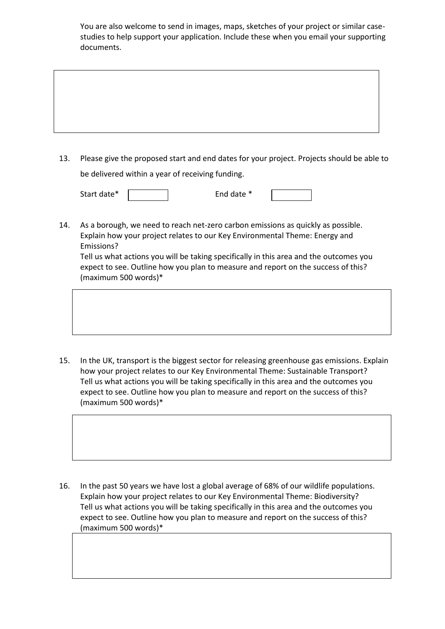You are also welcome to send in images, maps, sketches of your project or similar casestudies to help support your application. Include these when you email your supporting documents.

13. Please give the proposed start and end dates for your project. Projects should be able to be delivered within a year of receiving funding.

| Start date* |  | End date * |  |  |
|-------------|--|------------|--|--|
|-------------|--|------------|--|--|

14. As a borough, we need to reach net-zero carbon emissions as quickly as possible. Explain how your project relates to our Key Environmental Theme: Energy and Emissions?

Tell us what actions you will be taking specifically in this area and the outcomes you expect to see. Outline how you plan to measure and report on the success of this? (maximum 500 words)\*

15. In the UK, transport is the biggest sector for releasing greenhouse gas emissions. Explain how your project relates to our Key Environmental Theme: Sustainable Transport? Tell us what actions you will be taking specifically in this area and the outcomes you expect to see. Outline how you plan to measure and report on the success of this? (maximum 500 words)\*

16. In the past 50 years we have lost a global average of 68% of our wildlife populations. Explain how your project relates to our Key Environmental Theme: Biodiversity? Tell us what actions you will be taking specifically in this area and the outcomes you expect to see. Outline how you plan to measure and report on the success of this? (maximum 500 words)\*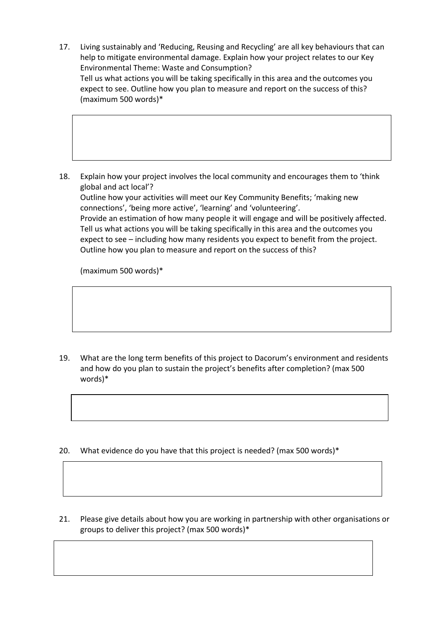17. Living sustainably and 'Reducing, Reusing and Recycling' are all key behaviours that can help to mitigate environmental damage. Explain how your project relates to our Key Environmental Theme: Waste and Consumption? Tell us what actions you will be taking specifically in this area and the outcomes you expect to see. Outline how you plan to measure and report on the success of this? (maximum 500 words)\*

18. Explain how your project involves the local community and encourages them to 'think global and act local'?

Outline how your activities will meet our Key Community Benefits; 'making new connections', 'being more active', 'learning' and 'volunteering'. Provide an estimation of how many people it will engage and will be positively affected. Tell us what actions you will be taking specifically in this area and the outcomes you expect to see – including how many residents you expect to benefit from the project. Outline how you plan to measure and report on the success of this?

(maximum 500 words)\*

19. What are the long term benefits of this project to Dacorum's environment and residents and how do you plan to sustain the project's benefits after completion? (max 500 words)\*

- 20. What evidence do you have that this project is needed? (max 500 words)\*
- 21. Please give details about how you are working in partnership with other organisations or groups to deliver this project? (max 500 words)\*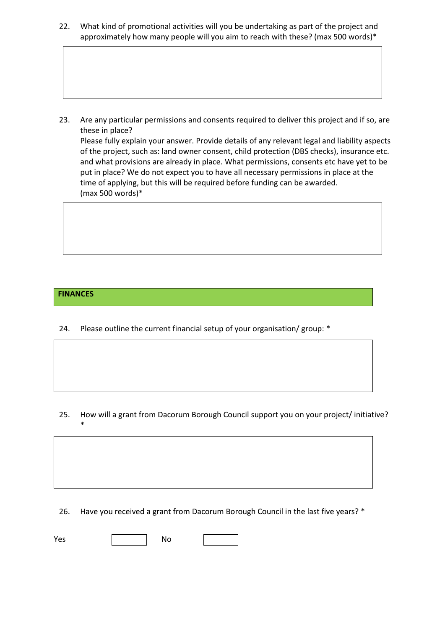22. What kind of promotional activities will you be undertaking as part of the project and approximately how many people will you aim to reach with these? (max 500 words)\*

23. Are any particular permissions and consents required to deliver this project and if so, are these in place? Please fully explain your answer. Provide details of any relevant legal and liability aspects of the project, such as: land owner consent, child protection (DBS checks), insurance etc. and what provisions are already in place. What permissions, consents etc have yet to be put in place? We do not expect you to have all necessary permissions in place at the time of applying, but this will be required before funding can be awarded. (max 500 words)\*

## **FINANCES**

\*

24. Please outline the current financial setup of your organisation/ group: \*

25. How will a grant from Dacorum Borough Council support you on your project/ initiative?

26. Have you received a grant from Dacorum Borough Council in the last five years? \*

Yes | No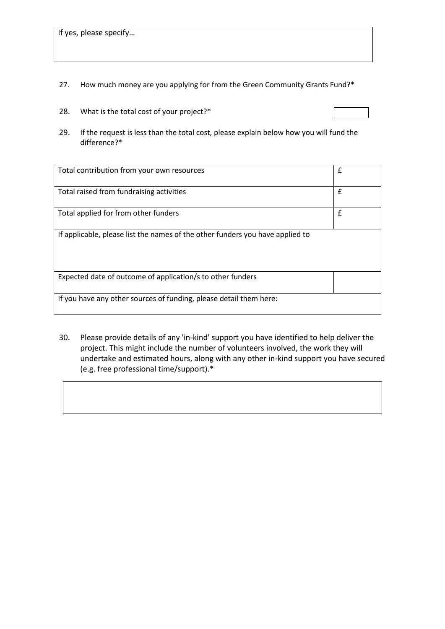If yes, please specify…

- 27. How much money are you applying for from the Green Community Grants Fund?\*
- 28. What is the total cost of your project?\*
- 29. If the request is less than the total cost, please explain below how you will fund the difference?\*

| Total contribution from your own resources                                    | £ |
|-------------------------------------------------------------------------------|---|
| Total raised from fundraising activities                                      | £ |
| Total applied for from other funders                                          | £ |
| If applicable, please list the names of the other funders you have applied to |   |
| Expected date of outcome of application/s to other funders                    |   |
| If you have any other sources of funding, please detail them here:            |   |

30. Please provide details of any 'in-kind' support you have identified to help deliver the project. This might include the number of volunteers involved, the work they will undertake and estimated hours, along with any other in-kind support you have secured (e.g. free professional time/support).\*